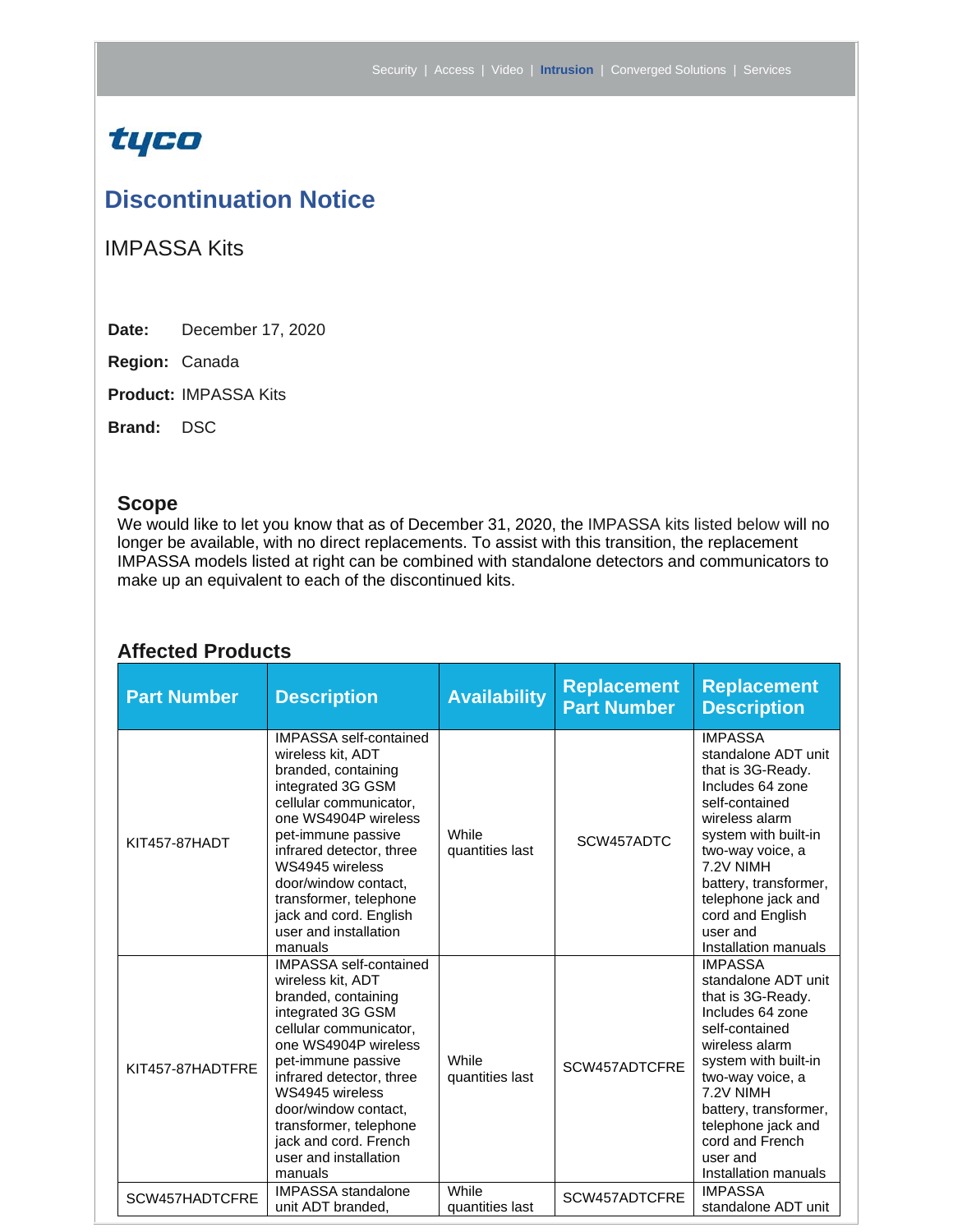## tyco

### **Discontinuation Notice**

IMPASSA Kits

**Date:** December 17, 2020

**Region:** Canada

**Product:** IMPASSA Kits

**Brand:** DSC

#### **Scope**

We would like to let you know that as of December 31, 2020, the IMPASSA kits listed below will no longer be available, with no direct replacements. To assist with this transition, the replacement IMPASSA models listed at right can be combined with standalone detectors and communicators to make up an equivalent to each of the discontinued kits.

#### **Affected Products**

| <b>Part Number</b> | <b>Description</b>                                                                                                                                                                                                                                                                                                                    | <b>Availability</b>      | <b>Replacement</b><br><b>Part Number</b> | <b>Replacement</b><br><b>Description</b>                                                                                                                                                                                                                                           |
|--------------------|---------------------------------------------------------------------------------------------------------------------------------------------------------------------------------------------------------------------------------------------------------------------------------------------------------------------------------------|--------------------------|------------------------------------------|------------------------------------------------------------------------------------------------------------------------------------------------------------------------------------------------------------------------------------------------------------------------------------|
| KIT457-87HADT      | <b>IMPASSA self-contained</b><br>wireless kit, ADT<br>branded, containing<br>integrated 3G GSM<br>cellular communicator,<br>one WS4904P wireless<br>pet-immune passive<br>infrared detector, three<br>WS4945 wireless<br>door/window contact,<br>transformer, telephone<br>jack and cord. English<br>user and installation<br>manuals | While<br>quantities last | SCW457ADTC                               | <b>IMPASSA</b><br>standalone ADT unit<br>that is 3G-Ready.<br>Includes 64 zone<br>self-contained<br>wireless alarm<br>system with built-in<br>two-way voice, a<br>7.2V NIMH<br>battery, transformer,<br>telephone jack and<br>cord and English<br>user and<br>Installation manuals |
| KIT457-87HADTFRE   | <b>IMPASSA</b> self-contained<br>wireless kit, ADT<br>branded, containing<br>integrated 3G GSM<br>cellular communicator,<br>one WS4904P wireless<br>pet-immune passive<br>infrared detector, three<br>WS4945 wireless<br>door/window contact,<br>transformer, telephone<br>jack and cord. French<br>user and installation<br>manuals  | While<br>quantities last | SCW457ADTCFRE                            | <b>IMPASSA</b><br>standalone ADT unit<br>that is 3G-Ready.<br>Includes 64 zone<br>self-contained<br>wireless alarm<br>system with built-in<br>two-way voice, a<br>7.2V NIMH<br>battery, transformer,<br>telephone jack and<br>cord and French<br>user and<br>Installation manuals  |
| SCW457HADTCFRE     | <b>IMPASSA</b> standalone<br>unit ADT branded,                                                                                                                                                                                                                                                                                        | While<br>quantities last | SCW457ADTCFRE                            | <b>IMPASSA</b><br>standalone ADT unit                                                                                                                                                                                                                                              |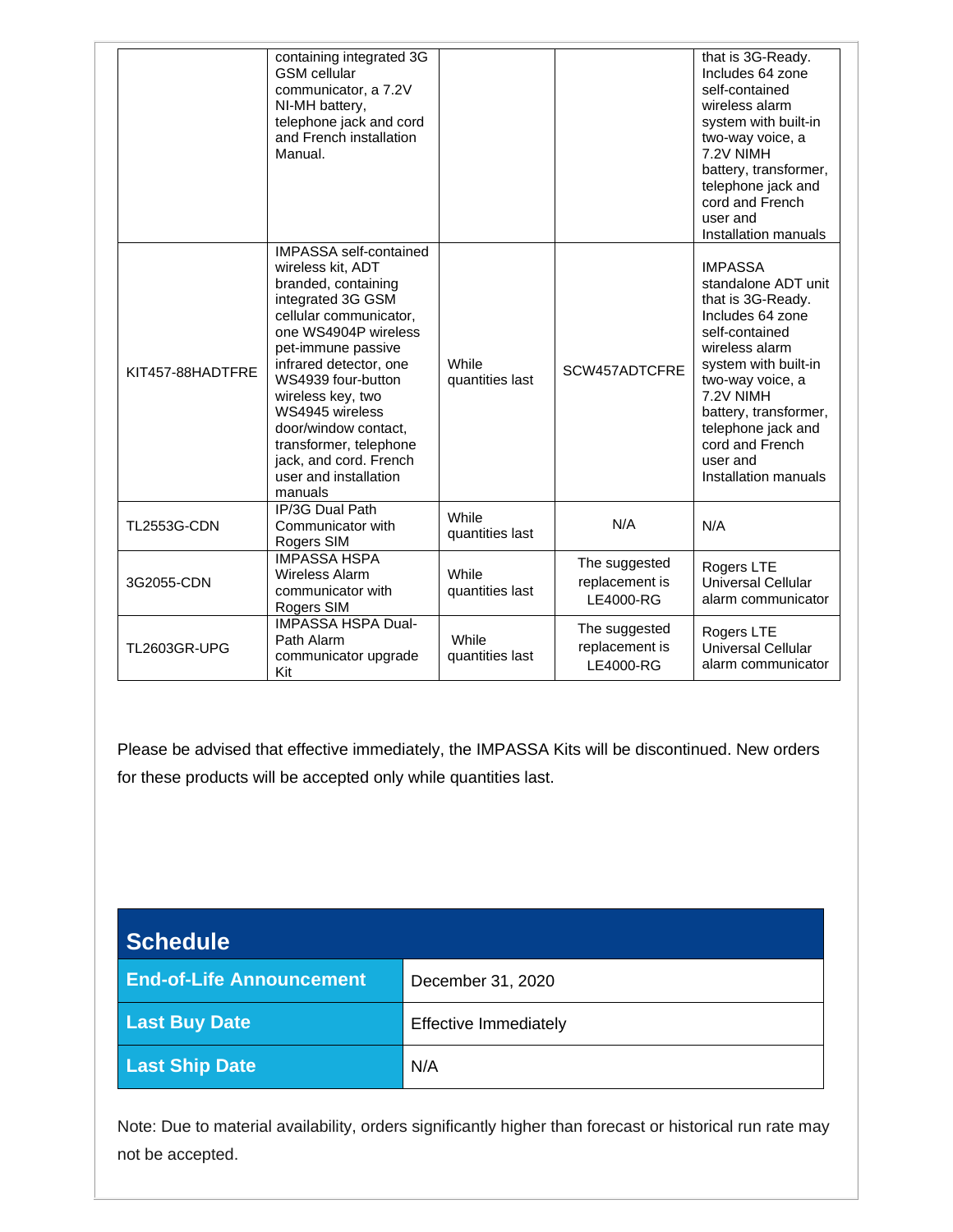|                    | containing integrated 3G<br><b>GSM</b> cellular<br>communicator, a 7.2V<br>NI-MH battery,<br>telephone jack and cord<br>and French installation<br>Manual.                                                                                                                                                                                                                     |                          |                                              | that is 3G-Ready.<br>Includes 64 zone<br>self-contained<br>wireless alarm<br>system with built-in<br>two-way voice, a<br>7.2V NIMH<br>battery, transformer,<br>telephone jack and<br>cord and French<br>user and<br>Installation manuals                                          |
|--------------------|--------------------------------------------------------------------------------------------------------------------------------------------------------------------------------------------------------------------------------------------------------------------------------------------------------------------------------------------------------------------------------|--------------------------|----------------------------------------------|-----------------------------------------------------------------------------------------------------------------------------------------------------------------------------------------------------------------------------------------------------------------------------------|
| KIT457-88HADTFRE   | <b>IMPASSA</b> self-contained<br>wireless kit, ADT<br>branded, containing<br>integrated 3G GSM<br>cellular communicator,<br>one WS4904P wireless<br>pet-immune passive<br>infrared detector, one<br>WS4939 four-button<br>wireless key, two<br>WS4945 wireless<br>door/window contact,<br>transformer, telephone<br>jack, and cord. French<br>user and installation<br>manuals | While<br>quantities last | SCW457ADTCFRE                                | <b>IMPASSA</b><br>standalone ADT unit<br>that is 3G-Ready.<br>Includes 64 zone<br>self-contained<br>wireless alarm<br>system with built-in<br>two-way voice, a<br>7.2V NIMH<br>battery, transformer,<br>telephone jack and<br>cord and French<br>user and<br>Installation manuals |
| <b>TL2553G-CDN</b> | IP/3G Dual Path<br>Communicator with<br>Rogers SIM                                                                                                                                                                                                                                                                                                                             | While<br>quantities last | N/A                                          | N/A                                                                                                                                                                                                                                                                               |
| 3G2055-CDN         | <b>IMPASSA HSPA</b><br><b>Wireless Alarm</b><br>communicator with<br>Rogers SIM                                                                                                                                                                                                                                                                                                | While<br>quantities last | The suggested<br>replacement is<br>LE4000-RG | Rogers LTE<br>Universal Cellular<br>alarm communicator                                                                                                                                                                                                                            |
| TL2603GR-UPG       | <b>IMPASSA HSPA Dual-</b><br>Path Alarm<br>communicator upgrade<br>Kit                                                                                                                                                                                                                                                                                                         | While<br>quantities last | The suggested<br>replacement is<br>LE4000-RG | Rogers LTE<br><b>Universal Cellular</b><br>alarm communicator                                                                                                                                                                                                                     |

Please be advised that effective immediately, the IMPASSA Kits will be discontinued. New orders for these products will be accepted only while quantities last.

| Schedule <sup>1</sup>           |                              |  |  |
|---------------------------------|------------------------------|--|--|
| <b>End-of-Life Announcement</b> | December 31, 2020            |  |  |
| <b>Last Buy Date</b>            | <b>Effective Immediately</b> |  |  |
| <b>Last Ship Date</b>           | N/A                          |  |  |

Note: Due to material availability, orders significantly higher than forecast or historical run rate may not be accepted.